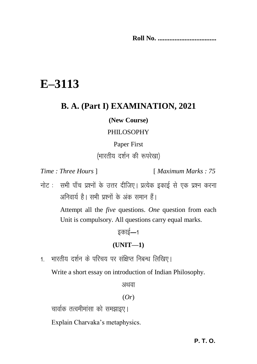**Roll No. ...................................**

# **E–3113**

# **B. A. (Part I) EXAMINATION, 2021**

#### **(New Course)**

#### PHILOSOPHY

#### Paper First

(भारतीय दर्शन की रूपरेखा)

*Time : Three Hours* ] [ *Maximum Marks : 75*

नोट : सभी पाँच प्रश्नों के उत्तर दीजिए। प्रत्येक इकाई से एक प्रश्न करना अनिवार्य है। सभी प्रश्नों के अंक समान हैं।

> Attempt all the *five* questions. *One* question from each Unit is compulsory. All questions carry equal marks.

# डकाई $-1$ **(UNIT—1)**

1 - भारतीय दर्शन के परिचय पर संक्षिप्त निबन्ध लिखिए।

Write a short essay on introduction of Indian Philosophy.

अथवा

#### (*Or*)

चार्वाक तत्वमीमांसा को समझाइए।

Explain Charvaka's metaphysics.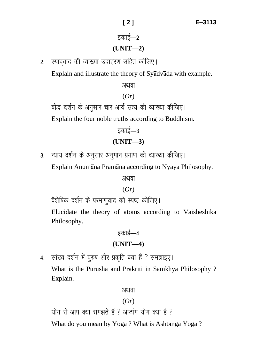# इकाई—2 **(UNIT—2)**

2. स्यादवाद की व्याख्या उदाहरण सहित कीजिए।

Explain and illustrate the theory of Syadvada with example.

अथवा

#### (*Or*)

बौद्ध दर्शन के अनुसार चार आर्य सत्य की व्याख्या कीजिए।

Explain the four noble truths according to Buddhism.

# डकाई $-3$ **(UNIT—3)**

3. न्याय दर्शन के अनुसार अनुमान प्रमाण की व्याख्या कीजिए।

Explain Anumana Pramana according to Nyaya Philosophy.

अथवा

(*Or*)

वैशेषिक दर्शन के परमाणवाद को स्पष्ट कीजिए।

Elucidate the theory of atoms according to Vaisheshika Philosophy.

# इकाई—4 **(UNIT—4)**

4. सांख्य दर्शन में पुरुष और प्रकृति क्या हैं ? समझाइए।

What is the Purusha and Prakriti in Samkhya Philosophy ? Explain.

अथवा

### (*Or*)

योग से आप क्या समझते हैं ? अष्टांग योग क्या है ?

What do you mean by Yoga? What is Ashtanga Yoga?